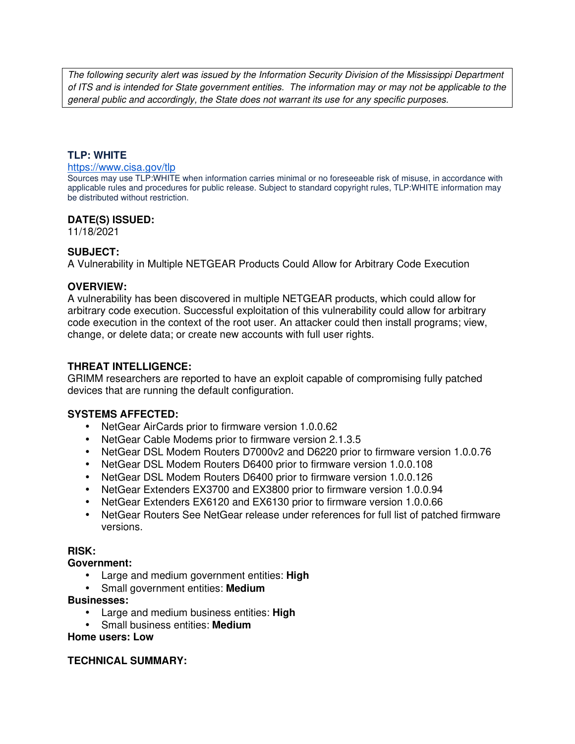The following security alert was issued by the Information Security Division of the Mississippi Department of ITS and is intended for State government entities. The information may or may not be applicable to the general public and accordingly, the State does not warrant its use for any specific purposes.

### **TLP: WHITE**

#### https://www.cisa.gov/tlp

Sources may use TLP:WHITE when information carries minimal or no foreseeable risk of misuse, in accordance with applicable rules and procedures for public release. Subject to standard copyright rules, TLP:WHITE information may be distributed without restriction.

### **DATE(S) ISSUED:**

11/18/2021

## **SUBJECT:**

A Vulnerability in Multiple NETGEAR Products Could Allow for Arbitrary Code Execution

### **OVERVIEW:**

A vulnerability has been discovered in multiple NETGEAR products, which could allow for arbitrary code execution. Successful exploitation of this vulnerability could allow for arbitrary code execution in the context of the root user. An attacker could then install programs; view, change, or delete data; or create new accounts with full user rights.

## **THREAT INTELLIGENCE:**

GRIMM researchers are reported to have an exploit capable of compromising fully patched devices that are running the default configuration.

## **SYSTEMS AFFECTED:**

- NetGear AirCards prior to firmware version 1.0.0.62
- NetGear Cable Modems prior to firmware version 2.1.3.5
- NetGear DSL Modem Routers D7000v2 and D6220 prior to firmware version 1.0.0.76
- NetGear DSL Modem Routers D6400 prior to firmware version 1.0.0.108
- NetGear DSL Modem Routers D6400 prior to firmware version 1.0.0.126
- NetGear Extenders EX3700 and EX3800 prior to firmware version 1.0.0.94
- NetGear Extenders EX6120 and EX6130 prior to firmware version 1.0.0.66
- NetGear Routers See NetGear release under references for full list of patched firmware versions.

#### **RISK:**

#### **Government:**

- Large and medium government entities: **High**
- Small government entities: **Medium**

#### **Businesses:**

- Large and medium business entities: **High**
- Small business entities: **Medium**

**Home users: Low**

#### **TECHNICAL SUMMARY:**